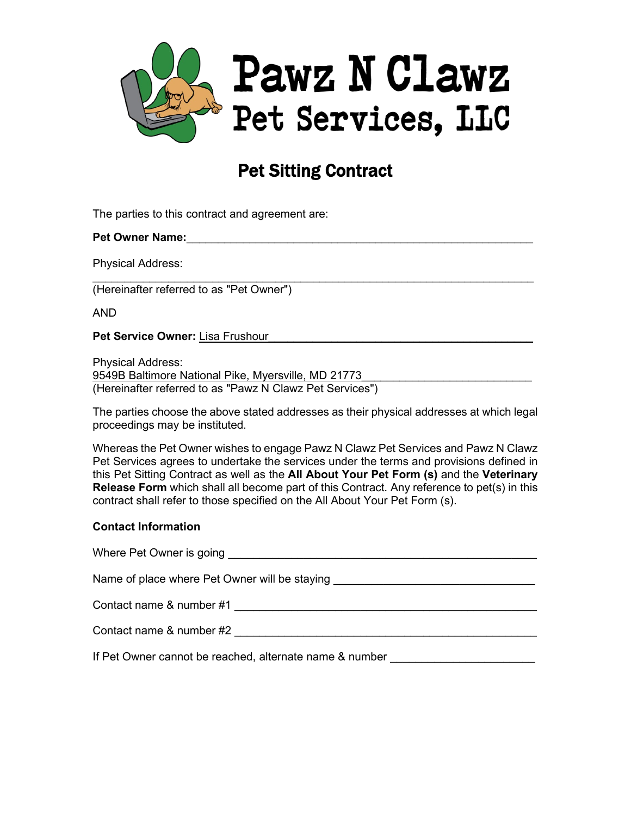

# Pet Sitting Contract

The parties to this contract and agreement are:

## **Pet Owner Name:**

Physical Address:

 $\_$ (Hereinafter referred to as "Pet Owner")

AND

Pet Service Owner: Lisa Frushour

Physical Address: 9549B Baltimore National Pike, Myersville, MD 21773 (Hereinafter referred to as "Pawz N Clawz Pet Services")

The parties choose the above stated addresses as their physical addresses at which legal proceedings may be instituted.

Whereas the Pet Owner wishes to engage Pawz N Clawz Pet Services and Pawz N Clawz Pet Services agrees to undertake the services under the terms and provisions defined in this Pet Sitting Contract as well as the **All About Your Pet Form (s)** and the **Veterinary Release Form** which shall all become part of this Contract. Any reference to pet(s) in this contract shall refer to those specified on the All About Your Pet Form (s).

#### **Contact Information**

| Where Pet Owner is going                                |
|---------------------------------------------------------|
| Name of place where Pet Owner will be staying           |
| Contact name & number #1                                |
| Contact name & number #2                                |
| If Pet Owner cannot be reached, alternate name & number |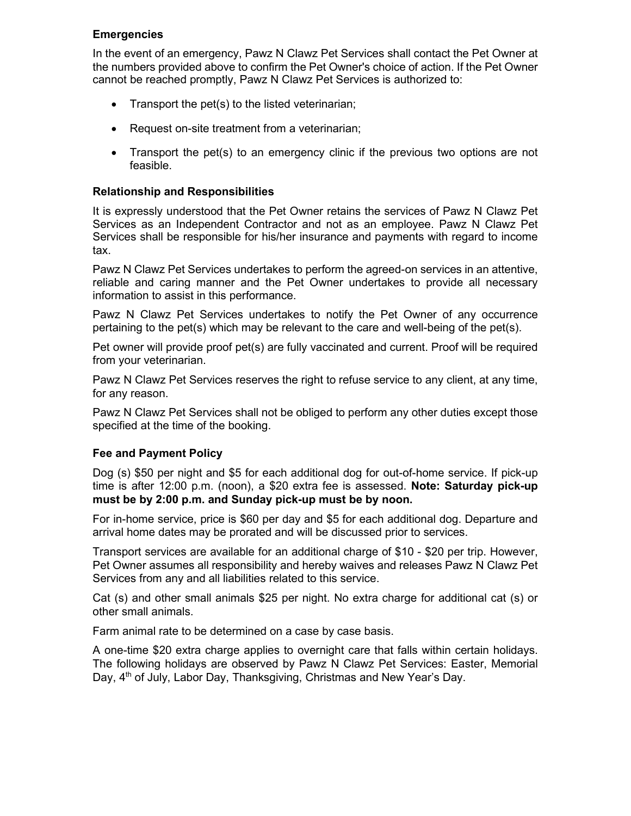# **Emergencies**

In the event of an emergency, Pawz N Clawz Pet Services shall contact the Pet Owner at the numbers provided above to confirm the Pet Owner's choice of action. If the Pet Owner cannot be reached promptly, Pawz N Clawz Pet Services is authorized to:

- Transport the pet(s) to the listed veterinarian;
- Request on-site treatment from a veterinarian;
- Transport the pet(s) to an emergency clinic if the previous two options are not feasible.

# **Relationship and Responsibilities**

It is expressly understood that the Pet Owner retains the services of Pawz N Clawz Pet Services as an Independent Contractor and not as an employee. Pawz N Clawz Pet Services shall be responsible for his/her insurance and payments with regard to income tax.

Pawz N Clawz Pet Services undertakes to perform the agreed-on services in an attentive, reliable and caring manner and the Pet Owner undertakes to provide all necessary information to assist in this performance.

Pawz N Clawz Pet Services undertakes to notify the Pet Owner of any occurrence pertaining to the pet(s) which may be relevant to the care and well-being of the pet(s).

Pet owner will provide proof pet(s) are fully vaccinated and current. Proof will be required from your veterinarian.

Pawz N Clawz Pet Services reserves the right to refuse service to any client, at any time, for any reason.

Pawz N Clawz Pet Services shall not be obliged to perform any other duties except those specified at the time of the booking.

# **Fee and Payment Policy**

Dog (s) \$50 per night and \$5 for each additional dog for out-of-home service. If pick-up time is after 12:00 p.m. (noon), a \$20 extra fee is assessed. **Note: Saturday pick-up must be by 2:00 p.m. and Sunday pick-up must be by noon.**

For in-home service, price is \$60 per day and \$5 for each additional dog. Departure and arrival home dates may be prorated and will be discussed prior to services.

Transport services are available for an additional charge of \$10 - \$20 per trip. However, Pet Owner assumes all responsibility and hereby waives and releases Pawz N Clawz Pet Services from any and all liabilities related to this service.

Cat (s) and other small animals \$25 per night. No extra charge for additional cat (s) or other small animals.

Farm animal rate to be determined on a case by case basis.

A one-time \$20 extra charge applies to overnight care that falls within certain holidays. The following holidays are observed by Pawz N Clawz Pet Services: Easter, Memorial Day, 4<sup>th</sup> of July, Labor Day, Thanksgiving, Christmas and New Year's Day.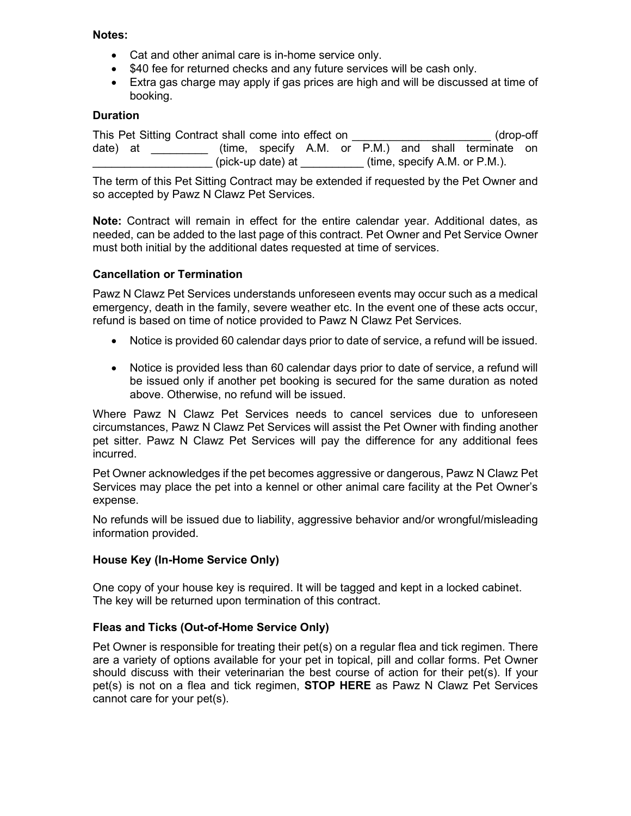#### **Notes:**

- Cat and other animal care is in-home service only.
- \$40 fee for returned checks and any future services will be cash only.
- Extra gas charge may apply if gas prices are high and will be discussed at time of booking.

#### **Duration**

This Pet Sitting Contract shall come into effect on  $(drop-off)$ date) at  $(time, specify A.M. or P.M.)$  and shall terminate on  $(\text{pick-up date})$  at  $(\text{time, specify A.M. or P.M.}).$ 

The term of this Pet Sitting Contract may be extended if requested by the Pet Owner and so accepted by Pawz N Clawz Pet Services.

**Note:** Contract will remain in effect for the entire calendar year. Additional dates, as needed, can be added to the last page of this contract. Pet Owner and Pet Service Owner must both initial by the additional dates requested at time of services.

#### **Cancellation or Termination**

Pawz N Clawz Pet Services understands unforeseen events may occur such as a medical emergency, death in the family, severe weather etc. In the event one of these acts occur, refund is based on time of notice provided to Pawz N Clawz Pet Services.

- Notice is provided 60 calendar days prior to date of service, a refund will be issued.
- Notice is provided less than 60 calendar days prior to date of service, a refund will be issued only if another pet booking is secured for the same duration as noted above. Otherwise, no refund will be issued.

Where Pawz N Clawz Pet Services needs to cancel services due to unforeseen circumstances, Pawz N Clawz Pet Services will assist the Pet Owner with finding another pet sitter. Pawz N Clawz Pet Services will pay the difference for any additional fees incurred.

Pet Owner acknowledges if the pet becomes aggressive or dangerous, Pawz N Clawz Pet Services may place the pet into a kennel or other animal care facility at the Pet Owner's expense.

No refunds will be issued due to liability, aggressive behavior and/or wrongful/misleading information provided.

#### **House Key (In-Home Service Only)**

One copy of your house key is required. It will be tagged and kept in a locked cabinet. The key will be returned upon termination of this contract.

#### **Fleas and Ticks (Out-of-Home Service Only)**

Pet Owner is responsible for treating their pet(s) on a regular flea and tick regimen. There are a variety of options available for your pet in topical, pill and collar forms. Pet Owner should discuss with their veterinarian the best course of action for their pet(s). If your pet(s) is not on a flea and tick regimen, **STOP HERE** as Pawz N Clawz Pet Services cannot care for your pet(s).